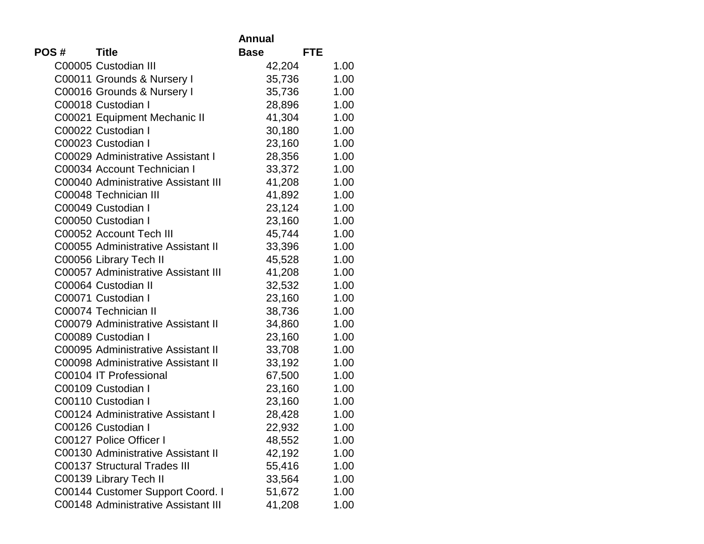|      |                                     | Annual                    |      |
|------|-------------------------------------|---------------------------|------|
| POS# | <b>Title</b>                        | <b>Base</b><br><b>FTE</b> |      |
|      | C00005 Custodian III                | 42,204                    | 1.00 |
|      | C00011 Grounds & Nursery I          | 35,736                    | 1.00 |
|      | C00016 Grounds & Nursery I          | 35,736                    | 1.00 |
|      | C00018 Custodian I                  | 28,896                    | 1.00 |
|      | C00021 Equipment Mechanic II        | 41,304                    | 1.00 |
|      | C00022 Custodian I                  | 30,180                    | 1.00 |
|      | C00023 Custodian I                  | 23,160                    | 1.00 |
|      | C00029 Administrative Assistant I   | 28,356                    | 1.00 |
|      | C00034 Account Technician I         | 33,372                    | 1.00 |
|      | C00040 Administrative Assistant III | 41,208                    | 1.00 |
|      | C00048 Technician III               | 41,892                    | 1.00 |
|      | C00049 Custodian I                  | 23,124                    | 1.00 |
|      | C00050 Custodian I                  | 23,160                    | 1.00 |
|      | C00052 Account Tech III             | 45,744                    | 1.00 |
|      | C00055 Administrative Assistant II  | 33,396                    | 1.00 |
|      | C00056 Library Tech II              | 45,528                    | 1.00 |
|      | C00057 Administrative Assistant III | 41,208                    | 1.00 |
|      | C00064 Custodian II                 | 32,532                    | 1.00 |
|      | C00071 Custodian I                  | 23,160                    | 1.00 |
|      | C00074 Technician II                | 38,736                    | 1.00 |
|      | C00079 Administrative Assistant II  | 34,860                    | 1.00 |
|      | C00089 Custodian I                  | 23,160                    | 1.00 |
|      | C00095 Administrative Assistant II  | 33,708                    | 1.00 |
|      | C00098 Administrative Assistant II  | 33,192                    | 1.00 |
|      | C00104 IT Professional              | 67,500                    | 1.00 |
|      | C00109 Custodian I                  | 23,160                    | 1.00 |
|      | C00110 Custodian I                  | 23,160                    | 1.00 |
|      | C00124 Administrative Assistant I   | 28,428                    | 1.00 |
|      | C00126 Custodian I                  | 22,932                    | 1.00 |
|      | C00127 Police Officer I             | 48,552                    | 1.00 |
|      | C00130 Administrative Assistant II  | 42,192                    | 1.00 |
|      | <b>C00137 Structural Trades III</b> | 55,416                    | 1.00 |
|      | C00139 Library Tech II              | 33,564                    | 1.00 |
|      | C00144 Customer Support Coord. I    | 51,672                    | 1.00 |
|      | C00148 Administrative Assistant III | 41,208                    | 1.00 |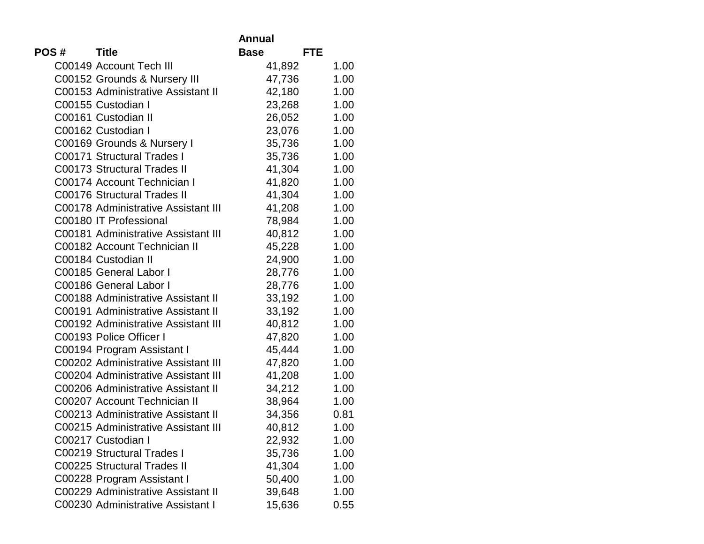|      |                                     | <b>Annual</b>             |      |
|------|-------------------------------------|---------------------------|------|
| POS# | <b>Title</b>                        | <b>Base</b><br><b>FTE</b> |      |
|      | C00149 Account Tech III             | 41,892                    | 1.00 |
|      | C00152 Grounds & Nursery III        | 47,736                    | 1.00 |
|      | C00153 Administrative Assistant II  | 42,180                    | 1.00 |
|      | C00155 Custodian I                  | 23,268                    | 1.00 |
|      | C00161 Custodian II                 | 26,052                    | 1.00 |
|      | C00162 Custodian I                  | 23,076                    | 1.00 |
|      | C00169 Grounds & Nursery I          | 35,736                    | 1.00 |
|      | C00171 Structural Trades I          | 35,736                    | 1.00 |
|      | <b>C00173 Structural Trades II</b>  | 41,304                    | 1.00 |
|      | C00174 Account Technician I         | 41,820                    | 1.00 |
|      | <b>C00176 Structural Trades II</b>  | 41,304                    | 1.00 |
|      | C00178 Administrative Assistant III | 41,208                    | 1.00 |
|      | C00180 IT Professional              | 78,984                    | 1.00 |
|      | C00181 Administrative Assistant III | 40,812                    | 1.00 |
|      | C00182 Account Technician II        | 45,228                    | 1.00 |
|      | C00184 Custodian II                 | 24,900                    | 1.00 |
|      | C00185 General Labor I              | 28,776                    | 1.00 |
|      | C00186 General Labor I              | 28,776                    | 1.00 |
|      | C00188 Administrative Assistant II  | 33,192                    | 1.00 |
|      | C00191 Administrative Assistant II  | 33,192                    | 1.00 |
|      | C00192 Administrative Assistant III | 40,812                    | 1.00 |
|      | C00193 Police Officer I             | 47,820                    | 1.00 |
|      | C00194 Program Assistant I          | 45,444                    | 1.00 |
|      | C00202 Administrative Assistant III | 47,820                    | 1.00 |
|      | C00204 Administrative Assistant III | 41,208                    | 1.00 |
|      | C00206 Administrative Assistant II  | 34,212                    | 1.00 |
|      | C00207 Account Technician II        | 38,964                    | 1.00 |
|      | C00213 Administrative Assistant II  | 34,356                    | 0.81 |
|      | C00215 Administrative Assistant III | 40,812                    | 1.00 |
|      | C00217 Custodian I                  | 22,932                    | 1.00 |
|      | C00219 Structural Trades I          | 35,736                    | 1.00 |
|      | <b>C00225 Structural Trades II</b>  | 41,304                    | 1.00 |
|      | C00228 Program Assistant I          | 50,400                    | 1.00 |
|      | C00229 Administrative Assistant II  | 39,648                    | 1.00 |
|      | C00230 Administrative Assistant I   | 15,636                    | 0.55 |